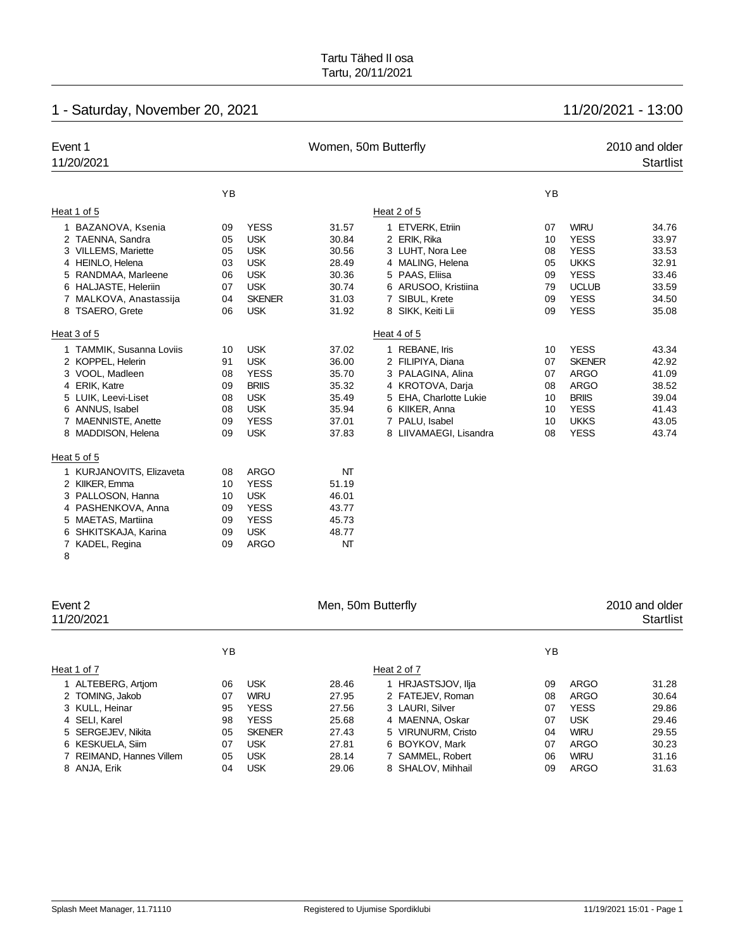# 1 - Saturday, November 20, 2021 11/20/2021 - 13:00

| Event 1                  |    |               | Women, 50m Butterfly |                        |    |               | 2010 and older   |
|--------------------------|----|---------------|----------------------|------------------------|----|---------------|------------------|
| 11/20/2021               |    |               |                      |                        |    |               | <b>Startlist</b> |
|                          | YB |               |                      |                        | YB |               |                  |
|                          |    |               |                      |                        |    |               |                  |
| Heat 1 of 5              |    |               |                      | Heat 2 of 5            |    |               |                  |
| BAZANOVA, Ksenia         | 09 | <b>YESS</b>   | 31.57                | 1 ETVERK, Etriin       | 07 | <b>WIRU</b>   | 34.76            |
| 2 TAENNA, Sandra         | 05 | <b>USK</b>    | 30.84                | 2 ERIK, Rika           | 10 | <b>YESS</b>   | 33.97            |
| 3 VILLEMS, Mariette      | 05 | <b>USK</b>    | 30.56                | 3 LUHT, Nora Lee       | 08 | <b>YESS</b>   | 33.53            |
| 4 HEINLO, Helena         | 03 | <b>USK</b>    | 28.49                | 4 MALING, Helena       | 05 | <b>UKKS</b>   | 32.91            |
| 5 RANDMAA, Marleene      | 06 | <b>USK</b>    | 30.36                | 5 PAAS, Eliisa         | 09 | <b>YESS</b>   | 33.46            |
| 6 HALJASTE, Heleriin     | 07 | <b>USK</b>    | 30.74                | 6 ARUSOO, Kristiina    | 79 | <b>UCLUB</b>  | 33.59            |
| 7 MALKOVA, Anastassija   | 04 | <b>SKENER</b> | 31.03                | 7 SIBUL, Krete         | 09 | <b>YESS</b>   | 34.50            |
| 8 TSAERO, Grete          | 06 | <b>USK</b>    | 31.92                | 8 SIKK, Keiti Lii      | 09 | <b>YESS</b>   | 35.08            |
| Heat 3 of 5              |    |               |                      | Heat 4 of 5            |    |               |                  |
| 1 TAMMIK, Susanna Loviis | 10 | <b>USK</b>    | 37.02                | 1 REBANE, Iris         | 10 | <b>YESS</b>   | 43.34            |
| 2 KOPPEL, Helerin        | 91 | <b>USK</b>    | 36.00                | 2 FILIPIYA, Diana      | 07 | <b>SKENER</b> | 42.92            |
| 3 VOOL, Madleen          | 08 | <b>YESS</b>   | 35.70                | 3 PALAGINA, Alina      | 07 | <b>ARGO</b>   | 41.09            |
| 4 ERIK, Katre            | 09 | <b>BRIIS</b>  | 35.32                | 4 KROTOVA, Darja       | 08 | <b>ARGO</b>   | 38.52            |
| 5 LUIK, Leevi-Liset      | 08 | <b>USK</b>    | 35.49                | 5 EHA, Charlotte Lukie | 10 | <b>BRIIS</b>  | 39.04            |
| 6 ANNUS, Isabel          | 08 | <b>USK</b>    | 35.94                | 6 KIIKER, Anna         | 10 | <b>YESS</b>   | 41.43            |
| 7 MAENNISTE, Anette      | 09 | <b>YESS</b>   | 37.01                | 7 PALU, Isabel         | 10 | <b>UKKS</b>   | 43.05            |
| 8 MADDISON, Helena       | 09 | <b>USK</b>    | 37.83                | 8 LIIVAMAEGI, Lisandra | 08 | <b>YESS</b>   | 43.74            |
| Heat 5 of 5              |    |               |                      |                        |    |               |                  |
| 1 KURJANOVITS, Elizaveta | 08 | <b>ARGO</b>   | NT                   |                        |    |               |                  |
| 2 KIIKER, Emma           | 10 | <b>YESS</b>   | 51.19                |                        |    |               |                  |
| 3 PALLOSON, Hanna        | 10 | <b>USK</b>    | 46.01                |                        |    |               |                  |
| 4 PASHENKOVA, Anna       | 09 | <b>YESS</b>   | 43.77                |                        |    |               |                  |
| 5 MAETAS, Martiina       | 09 | <b>YESS</b>   | 45.73                |                        |    |               |                  |
| 6 SHKITSKAJA, Karina     | 09 | <b>USK</b>    | 48.77                |                        |    |               |                  |
| KADEL, Regina<br>7       | 09 | <b>ARGO</b>   | NT                   |                        |    |               |                  |
| 8                        |    |               |                      |                        |    |               |                  |

| Event 2<br>11/20/2021    |    |               | Men, 50m Butterfly | 2010 and older<br><b>Startlist</b> |    |             |       |
|--------------------------|----|---------------|--------------------|------------------------------------|----|-------------|-------|
|                          | ΥB |               |                    |                                    | YB |             |       |
| Heat 1 of 7              |    |               |                    | Heat 2 of 7                        |    |             |       |
| 1 ALTEBERG, Artjom       | 06 | <b>USK</b>    | 28.46              | 1 HRJASTSJOV, Ilja                 | 09 | <b>ARGO</b> | 31.28 |
| 2 TOMING, Jakob          | 07 | <b>WIRU</b>   | 27.95              | 2 FATEJEV, Roman                   | 08 | <b>ARGO</b> | 30.64 |
| 3 KULL, Heinar           | 95 | <b>YESS</b>   | 27.56              | 3 LAURI, Silver                    | 07 | <b>YESS</b> | 29.86 |
| 4 SELI, Karel            | 98 | <b>YESS</b>   | 25.68              | 4 MAENNA, Oskar                    | 07 | <b>USK</b>  | 29.46 |
| 5 SERGEJEV, Nikita       | 05 | <b>SKENER</b> | 27.43              | 5 VIRUNURM, Cristo                 | 04 | <b>WIRU</b> | 29.55 |
| 6 KESKUELA, Siim         | 07 | <b>USK</b>    | 27.81              | 6 BOYKOV, Mark                     | 07 | <b>ARGO</b> | 30.23 |
| 7 REIMAND, Hannes Villem | 05 | <b>USK</b>    | 28.14              | 7 SAMMEL, Robert                   | 06 | <b>WIRU</b> | 31.16 |
| 8 ANJA, Erik             | 04 | <b>USK</b>    | 29.06              | 8 SHALOV, Mihhail                  | 09 | <b>ARGO</b> | 31.63 |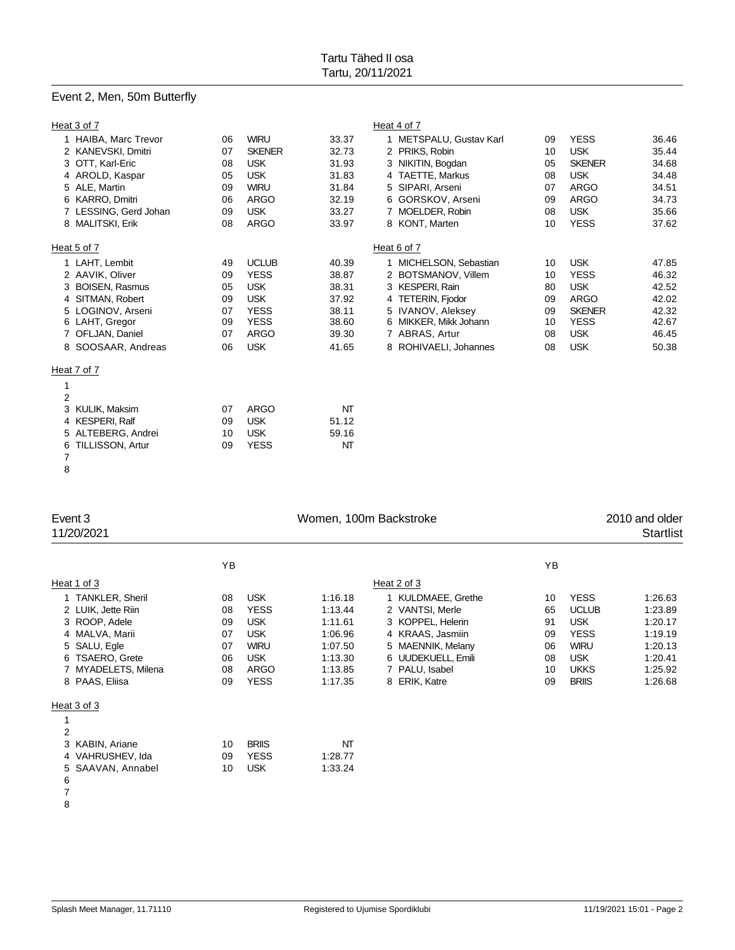# Event 2, Men, 50m Butterfly

| Heat 3 of 7                   |    |               |       | Heat 4 of 7             |    |               |       |
|-------------------------------|----|---------------|-------|-------------------------|----|---------------|-------|
| 1 HAIBA, Marc Trevor          | 06 | <b>WIRU</b>   | 33.37 | 1 METSPALU, Gustav Karl | 09 | <b>YESS</b>   | 36.46 |
| 2 KANEVSKI, Dmitri            | 07 | <b>SKENER</b> | 32.73 | 2 PRIKS, Robin          | 10 | <b>USK</b>    | 35.44 |
| 3 OTT, Karl-Eric              | 08 | <b>USK</b>    | 31.93 | 3 NIKITIN, Bogdan       | 05 | <b>SKENER</b> | 34.68 |
| 4 AROLD, Kaspar               | 05 | <b>USK</b>    | 31.83 | 4 TAETTE, Markus        | 08 | <b>USK</b>    | 34.48 |
| 5 ALE, Martin                 | 09 | <b>WIRU</b>   | 31.84 | 5 SIPARI, Arseni        | 07 | <b>ARGO</b>   | 34.51 |
| 6 KARRO, Dmitri               | 06 | ARGO          | 32.19 | 6 GORSKOV, Arseni       | 09 | <b>ARGO</b>   | 34.73 |
| 7 LESSING, Gerd Johan         | 09 | <b>USK</b>    | 33.27 | 7 MOELDER, Robin        | 08 | <b>USK</b>    | 35.66 |
| 8 MALITSKI, Erik              | 08 | ARGO          | 33.97 | 8 KONT, Marten          | 10 | <b>YESS</b>   | 37.62 |
| Heat 5 of 7                   |    |               |       | Heat 6 of 7             |    |               |       |
| 1 LAHT, Lembit                | 49 | <b>UCLUB</b>  | 40.39 | MICHELSON, Sebastian    | 10 | <b>USK</b>    | 47.85 |
| 2 AAVIK, Oliver               | 09 | <b>YESS</b>   | 38.87 | 2 BOTSMANOV, Villem     | 10 | <b>YESS</b>   | 46.32 |
| <b>BOISEN, Rasmus</b>         | 05 | <b>USK</b>    | 38.31 | 3 KESPERI, Rain         | 80 | <b>USK</b>    | 42.52 |
| 4 SITMAN, Robert              | 09 | <b>USK</b>    | 37.92 | 4 TETERIN, Fjodor       | 09 | <b>ARGO</b>   | 42.02 |
| 5 LOGINOV, Arseni             | 07 | <b>YESS</b>   | 38.11 | 5 IVANOV, Aleksey       | 09 | <b>SKENER</b> | 42.32 |
| 6 LAHT, Gregor                | 09 | <b>YESS</b>   | 38.60 | 6 MIKKER, Mikk Johann   | 10 | <b>YESS</b>   | 42.67 |
| 7 OFLJAN, Daniel              | 07 | <b>ARGO</b>   | 39.30 | 7 ABRAS, Artur          | 08 | <b>USK</b>    | 46.45 |
| 8 SOOSAAR, Andreas            | 06 | <b>USK</b>    | 41.65 | 8 ROHIVAELI, Johannes   | 08 | <b>USK</b>    | 50.38 |
| Heat 7 of 7                   |    |               |       |                         |    |               |       |
| 1                             |    |               |       |                         |    |               |       |
| $\overline{2}$                |    |               |       |                         |    |               |       |
| KULIK, Maksim<br>3            | 07 | <b>ARGO</b>   | NΤ    |                         |    |               |       |
| 4 KESPERI, Ralf               | 09 | <b>USK</b>    | 51.12 |                         |    |               |       |
| 5 ALTEBERG, Andrei            | 10 | <b>USK</b>    | 59.16 |                         |    |               |       |
| <b>TILLISSON, Artur</b><br>6. | 09 | <b>YESS</b>   | NT    |                         |    |               |       |

 

| Event 3<br>11/20/2021 |    | Women, 100m Backstroke |         |                    |    |              | 2010 and older<br><b>Startlist</b> |  |  |  |
|-----------------------|----|------------------------|---------|--------------------|----|--------------|------------------------------------|--|--|--|
|                       | YB |                        |         |                    | YB |              |                                    |  |  |  |
| Heat 1 of 3           |    |                        |         | Heat 2 of 3        |    |              |                                    |  |  |  |
| 1 TANKLER, Sheril     | 08 | <b>USK</b>             | 1:16.18 | 1 KULDMAEE, Grethe | 10 | <b>YESS</b>  | 1:26.63                            |  |  |  |
| 2 LUIK, Jette Riin    | 08 | <b>YESS</b>            | 1:13.44 | 2 VANTSI, Merle    | 65 | <b>UCLUB</b> | 1:23.89                            |  |  |  |
| 3 ROOP, Adele         | 09 | <b>USK</b>             | 1:11.61 | 3 KOPPEL, Helerin  | 91 | <b>USK</b>   | 1:20.17                            |  |  |  |
| 4 MALVA, Marii        | 07 | <b>USK</b>             | 1:06.96 | 4 KRAAS, Jasmiin   | 09 | <b>YESS</b>  | 1:19.19                            |  |  |  |
| 5 SALU, Egle          | 07 | <b>WIRU</b>            | 1:07.50 | 5 MAENNIK, Melany  | 06 | <b>WIRU</b>  | 1:20.13                            |  |  |  |
| 6 TSAERO, Grete       | 06 | <b>USK</b>             | 1:13.30 | 6 UUDEKUELL, Emili | 08 | <b>USK</b>   | 1:20.41                            |  |  |  |
| MYADELETS, Milena     | 08 | ARGO                   | 1:13.85 | 7 PALU, Isabel     | 10 | <b>UKKS</b>  | 1:25.92                            |  |  |  |
| 8 PAAS, Eliisa        | 09 | <b>YESS</b>            | 1:17.35 | 8 ERIK, Katre      | 09 | <b>BRIIS</b> | 1:26.68                            |  |  |  |
| Heat 3 of 3           |    |                        |         |                    |    |              |                                    |  |  |  |
|                       |    |                        |         |                    |    |              |                                    |  |  |  |
| 2                     |    |                        |         |                    |    |              |                                    |  |  |  |
| 3 KABIN, Ariane       | 10 | <b>BRIIS</b>           | NT      |                    |    |              |                                    |  |  |  |
| 4 VAHRUSHEV, Ida      | 09 | <b>YESS</b>            | 1:28.77 |                    |    |              |                                    |  |  |  |
| 5 SAAVAN, Annabel     | 10 | <b>USK</b>             | 1:33.24 |                    |    |              |                                    |  |  |  |
|                       |    |                        |         |                    |    |              |                                    |  |  |  |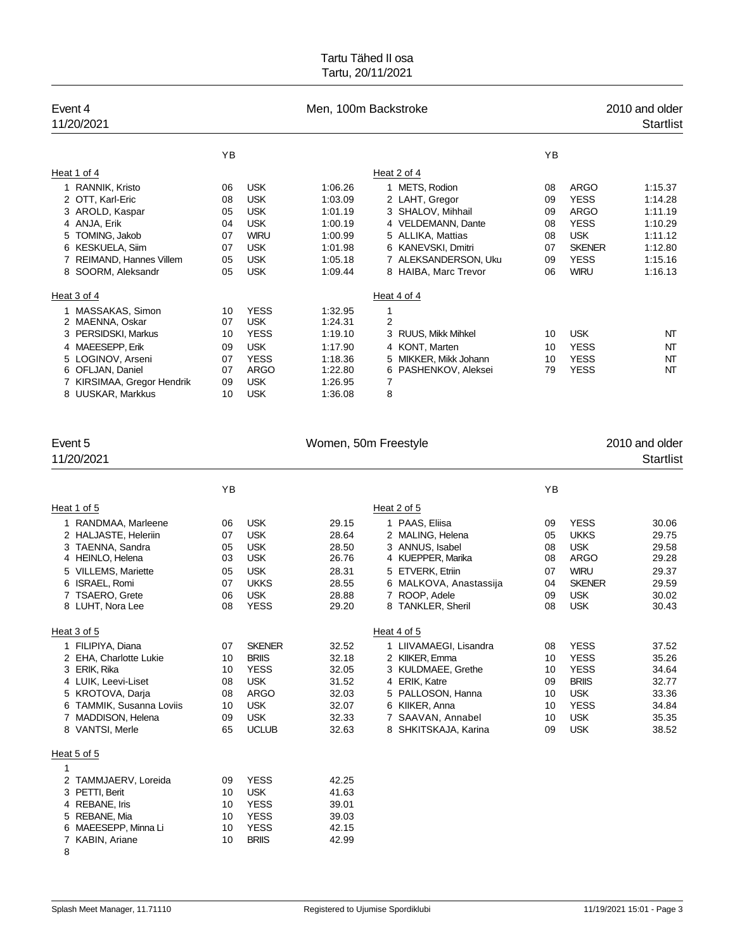| Event 4<br>11/20/2021      |    | Men, 100m Backstroke |         |                         |    |               | 2010 and older<br><b>Startlist</b> |
|----------------------------|----|----------------------|---------|-------------------------|----|---------------|------------------------------------|
|                            | ΥB |                      |         |                         | YB |               |                                    |
| Heat 1 of 4                |    |                      |         | Heat 2 of 4             |    |               |                                    |
| 1 RANNIK, Kristo           | 06 | <b>USK</b>           | 1:06.26 | 1 METS, Rodion          | 08 | ARGO          | 1:15.37                            |
| 2 OTT, Karl-Eric           | 08 | <b>USK</b>           | 1:03.09 | 2 LAHT, Gregor          | 09 | <b>YESS</b>   | 1:14.28                            |
| 3 AROLD, Kaspar            | 05 | <b>USK</b>           | 1:01.19 | 3 SHALOV, Mihhail       | 09 | <b>ARGO</b>   | 1:11.19                            |
| 4 ANJA, Erik               | 04 | <b>USK</b>           | 1:00.19 | 4 VELDEMANN, Dante      | 08 | <b>YESS</b>   | 1:10.29                            |
| 5 TOMING, Jakob            | 07 | <b>WIRU</b>          | 1:00.99 | 5 ALLIKA, Mattias       | 08 | <b>USK</b>    | 1:11.12                            |
| 6 KESKUELA, Siim           | 07 | <b>USK</b>           | 1:01.98 | 6 KANEVSKI, Dmitri      | 07 | <b>SKENER</b> | 1:12.80                            |
| 7 REIMAND, Hannes Villem   | 05 | <b>USK</b>           | 1:05.18 | 7 ALEKSANDERSON, Uku    | 09 | <b>YESS</b>   | 1:15.16                            |
| SOORM, Aleksandr<br>8      | 05 | <b>USK</b>           | 1:09.44 | 8 HAIBA, Marc Trevor    | 06 | <b>WIRU</b>   | 1:16.13                            |
| Heat 3 of 4                |    |                      |         | Heat 4 of 4             |    |               |                                    |
| 1 MASSAKAS, Simon          | 10 | <b>YESS</b>          | 1:32.95 | 1                       |    |               |                                    |
| MAENNA, Oskar<br>2         | 07 | <b>USK</b>           | 1:24.31 | $\overline{2}$          |    |               |                                    |
| 3 PERSIDSKI, Markus        | 10 | <b>YESS</b>          | 1:19.10 | 3 RUUS, Mikk Mihkel     | 10 | <b>USK</b>    | NT                                 |
| 4 MAEESEPP, Erik           | 09 | <b>USK</b>           | 1:17.90 | 4 KONT, Marten          | 10 | <b>YESS</b>   | NT                                 |
| 5 LOGINOV, Arseni          | 07 | <b>YESS</b>          | 1:18.36 | 5 MIKKER, Mikk Johann   | 10 | <b>YESS</b>   | NT                                 |
| 6 OFLJAN, Daniel           | 07 | <b>ARGO</b>          | 1:22.80 | PASHENKOV, Aleksei<br>6 | 79 | <b>YESS</b>   | NΤ                                 |
| 7 KIRSIMAA, Gregor Hendrik | 09 | <b>USK</b>           | 1:26.95 | 7                       |    |               |                                    |
| 8 UUSKAR, Markkus          | 10 | <b>USK</b>           | 1:36.08 | 8                       |    |               |                                    |

| Event 5                       |    |               | Women, 50m Freestyle |                        |    |               | 2010 and older   |
|-------------------------------|----|---------------|----------------------|------------------------|----|---------------|------------------|
| 11/20/2021                    |    |               |                      |                        |    |               | <b>Startlist</b> |
|                               | YB |               |                      |                        | YB |               |                  |
| Heat 1 of 5                   |    |               |                      | Heat 2 of 5            |    |               |                  |
| RANDMAA, Marleene             | 06 | <b>USK</b>    | 29.15                | 1 PAAS, Eliisa         | 09 | <b>YESS</b>   | 30.06            |
| 2 HALJASTE, Heleriin          | 07 | <b>USK</b>    | 28.64                | 2 MALING, Helena       | 05 | <b>UKKS</b>   | 29.75            |
| 3 TAENNA, Sandra              | 05 | <b>USK</b>    | 28.50                | 3 ANNUS, Isabel        | 08 | <b>USK</b>    | 29.58            |
| 4 HEINLO, Helena              | 03 | <b>USK</b>    | 26.76                | 4 KUEPPER, Marika      | 08 | <b>ARGO</b>   | 29.28            |
| <b>VILLEMS, Mariette</b>      | 05 | <b>USK</b>    | 28.31                | 5 ETVERK, Etriin       | 07 | <b>WIRU</b>   | 29.37            |
| ISRAEL, Romi<br>6             | 07 | <b>UKKS</b>   | 28.55                | 6 MALKOVA, Anastassija | 04 | <b>SKENER</b> | 29.59            |
| <b>TSAERO, Grete</b>          | 06 | <b>USK</b>    | 28.88                | 7 ROOP, Adele          | 09 | <b>USK</b>    | 30.02            |
| 8 LUHT, Nora Lee              | 08 | <b>YESS</b>   | 29.20                | 8 TANKLER, Sheril      | 08 | <b>USK</b>    | 30.43            |
| Heat 3 of 5                   |    |               |                      | Heat 4 of 5            |    |               |                  |
| 1 FILIPIYA, Diana             | 07 | <b>SKENER</b> | 32.52                | 1 LIIVAMAEGI, Lisandra | 08 | <b>YESS</b>   | 37.52            |
| 2 EHA, Charlotte Lukie        | 10 | <b>BRIIS</b>  | 32.18                | 2 KIIKER, Emma         | 10 | <b>YESS</b>   | 35.26            |
| 3 ERIK, Rika                  | 10 | <b>YESS</b>   | 32.05                | 3 KULDMAEE, Grethe     | 10 | <b>YESS</b>   | 34.64            |
| 4 LUIK, Leevi-Liset           | 08 | <b>USK</b>    | 31.52                | 4 ERIK, Katre          | 09 | <b>BRIIS</b>  | 32.77            |
| 5 KROTOVA, Darja              | 08 | <b>ARGO</b>   | 32.03                | 5 PALLOSON, Hanna      | 10 | <b>USK</b>    | 33.36            |
| <b>TAMMIK, Susanna Loviis</b> | 10 | <b>USK</b>    | 32.07                | 6 KIIKER, Anna         | 10 | <b>YESS</b>   | 34.84            |
| 7 MADDISON, Helena            | 09 | <b>USK</b>    | 32.33                | 7 SAAVAN, Annabel      | 10 | <b>USK</b>    | 35.35            |
| 8 VANTSI, Merle               | 65 | <b>UCLUB</b>  | 32.63                | 8 SHKITSKAJA, Karina   | 09 | <b>USK</b>    | 38.52            |
| Heat 5 of 5                   |    |               |                      |                        |    |               |                  |
| 1                             |    |               |                      |                        |    |               |                  |
| TAMMJAERV, Loreida<br>2       | 09 | <b>YESS</b>   | 42.25                |                        |    |               |                  |
| 3 PETTI, Berit                | 10 | <b>USK</b>    | 41.63                |                        |    |               |                  |
| 4 REBANE, Iris                | 10 | <b>YESS</b>   | 39.01                |                        |    |               |                  |
| REBANE, Mia                   | 10 | <b>YESS</b>   | 39.03                |                        |    |               |                  |
| 6 MAEESEPP, Minna Li          | 10 | <b>YESS</b>   | 42.15                |                        |    |               |                  |
| 7 KABIN, Ariane               | 10 | <b>BRIIS</b>  | 42.99                |                        |    |               |                  |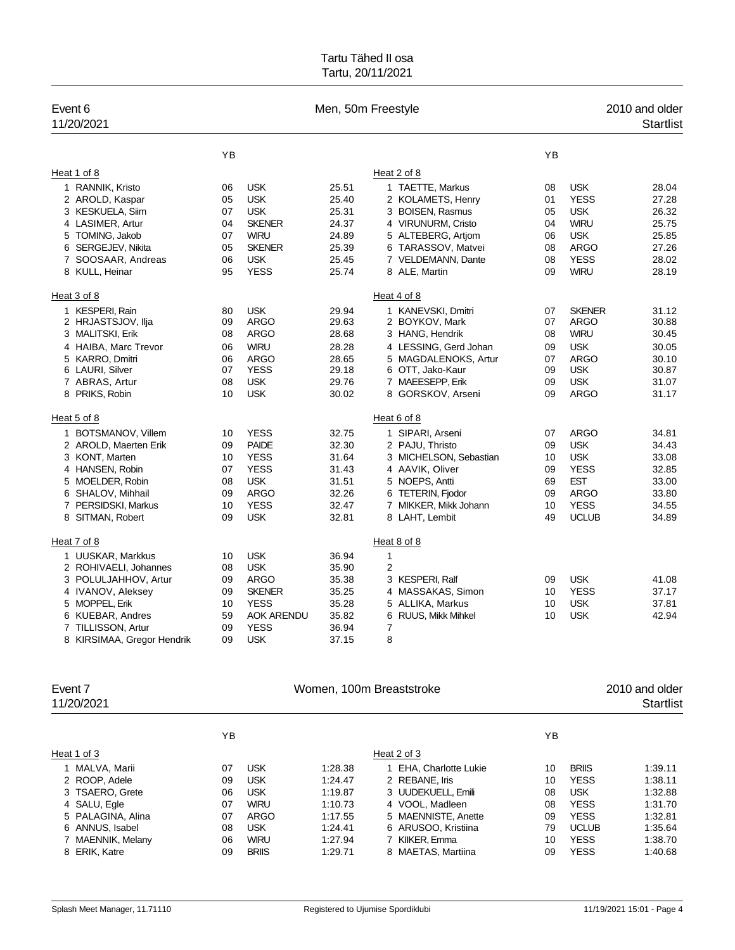| Event 6<br>11/20/2021      |    |                   |       | Men, 50m Freestyle     |    |               | 2010 and older<br><b>Startlist</b> |
|----------------------------|----|-------------------|-------|------------------------|----|---------------|------------------------------------|
|                            | YB |                   |       |                        | YB |               |                                    |
| Heat 1 of 8                |    |                   |       | Heat 2 of 8            |    |               |                                    |
| 1 RANNIK, Kristo           | 06 | <b>USK</b>        | 25.51 | 1 TAETTE, Markus       | 08 | <b>USK</b>    | 28.04                              |
| 2 AROLD, Kaspar            | 05 | <b>USK</b>        | 25.40 | 2 KOLAMETS, Henry      | 01 | <b>YESS</b>   | 27.28                              |
| 3 KESKUELA, Siim           | 07 | <b>USK</b>        | 25.31 | 3 BOISEN, Rasmus       | 05 | <b>USK</b>    | 26.32                              |
| 4 LASIMER, Artur           | 04 | <b>SKENER</b>     | 24.37 | 4 VIRUNURM, Cristo     | 04 | <b>WIRU</b>   | 25.75                              |
| 5 TOMING, Jakob            | 07 | <b>WIRU</b>       | 24.89 | 5 ALTEBERG, Artiom     | 06 | <b>USK</b>    | 25.85                              |
| 6 SERGEJEV, Nikita         | 05 | <b>SKENER</b>     | 25.39 | 6 TARASSOV, Matvei     | 08 | <b>ARGO</b>   | 27.26                              |
| 7 SOOSAAR, Andreas         | 06 | <b>USK</b>        | 25.45 | 7 VELDEMANN, Dante     | 08 | <b>YESS</b>   | 28.02                              |
| 8 KULL, Heinar             | 95 | <b>YESS</b>       | 25.74 | 8 ALE, Martin          | 09 | <b>WIRU</b>   | 28.19                              |
| Heat 3 of 8                |    |                   |       | Heat 4 of 8            |    |               |                                    |
| 1 KESPERI, Rain            | 80 | <b>USK</b>        | 29.94 | 1 KANEVSKI, Dmitri     | 07 | <b>SKENER</b> | 31.12                              |
| 2 HRJASTSJOV, Ilja         | 09 | <b>ARGO</b>       | 29.63 | 2 BOYKOV, Mark         | 07 | <b>ARGO</b>   | 30.88                              |
| 3 MALITSKI, Erik           | 08 | <b>ARGO</b>       | 28.68 | 3 HANG, Hendrik        | 08 | <b>WIRU</b>   | 30.45                              |
| 4 HAIBA, Marc Trevor       | 06 | <b>WIRU</b>       | 28.28 | 4 LESSING, Gerd Johan  | 09 | <b>USK</b>    | 30.05                              |
| 5 KARRO, Dmitri            | 06 | <b>ARGO</b>       | 28.65 | 5 MAGDALENOKS, Artur   | 07 | <b>ARGO</b>   | 30.10                              |
| 6 LAURI, Silver            | 07 | <b>YESS</b>       | 29.18 | 6 OTT, Jako-Kaur       | 09 | <b>USK</b>    | 30.87                              |
| 7 ABRAS, Artur             | 08 | <b>USK</b>        | 29.76 | 7 MAEESEPP, Erik       | 09 | <b>USK</b>    | 31.07                              |
| 8 PRIKS, Robin             | 10 | <b>USK</b>        | 30.02 | 8 GORSKOV, Arseni      | 09 | <b>ARGO</b>   | 31.17                              |
| Heat 5 of 8                |    |                   |       | Heat 6 of 8            |    |               |                                    |
| 1 BOTSMANOV, Villem        | 10 | <b>YESS</b>       | 32.75 | 1 SIPARI, Arseni       | 07 | <b>ARGO</b>   | 34.81                              |
| 2 AROLD, Maerten Erik      | 09 | <b>PAIDE</b>      | 32.30 | 2 PAJU, Thristo        | 09 | <b>USK</b>    | 34.43                              |
| 3 KONT, Marten             | 10 | <b>YESS</b>       | 31.64 | 3 MICHELSON, Sebastian | 10 | <b>USK</b>    | 33.08                              |
| 4 HANSEN, Robin            | 07 | <b>YESS</b>       | 31.43 | 4 AAVIK, Oliver        | 09 | <b>YESS</b>   | 32.85                              |
| 5 MOELDER, Robin           | 08 | <b>USK</b>        | 31.51 | 5 NOEPS, Antti         | 69 | <b>EST</b>    | 33.00                              |
| 6 SHALOV, Mihhail          | 09 | <b>ARGO</b>       | 32.26 | 6 TETERIN, Fjodor      | 09 | <b>ARGO</b>   | 33.80                              |
| 7 PERSIDSKI, Markus        | 10 | <b>YESS</b>       | 32.47 | 7 MIKKER, Mikk Johann  | 10 | <b>YESS</b>   | 34.55                              |
| 8 SITMAN, Robert           | 09 | <b>USK</b>        | 32.81 | 8 LAHT, Lembit         | 49 | <b>UCLUB</b>  | 34.89                              |
| Heat 7 of 8                |    |                   |       | Heat 8 of 8            |    |               |                                    |
| 1 UUSKAR, Markkus          | 10 | <b>USK</b>        | 36.94 | $\mathbf{1}$           |    |               |                                    |
| 2 ROHIVAELI, Johannes      | 08 | <b>USK</b>        | 35.90 | $\overline{2}$         |    |               |                                    |
| 3 POLULJAHHOV, Artur       | 09 | <b>ARGO</b>       | 35.38 | 3 KESPERI, Ralf        | 09 | <b>USK</b>    | 41.08                              |
| 4 IVANOV, Aleksey          | 09 | <b>SKENER</b>     | 35.25 | 4 MASSAKAS, Simon      | 10 | <b>YESS</b>   | 37.17                              |
| 5 MOPPEL, Erik             | 10 | <b>YESS</b>       | 35.28 | 5 ALLIKA, Markus       | 10 | <b>USK</b>    | 37.81                              |
| 6 KUEBAR, Andres           | 59 | <b>AOK ARENDU</b> | 35.82 | 6 RUUS, Mikk Mihkel    | 10 | <b>USK</b>    | 42.94                              |
| 7 TILLISSON, Artur         | 09 | <b>YESS</b>       | 36.94 | 7                      |    |               |                                    |
| 8 KIRSIMAA, Gregor Hendrik | 09 | <b>USK</b>        | 37.15 | 8                      |    |               |                                    |
|                            |    |                   |       |                        |    |               |                                    |

| Event 7<br>11/20/2021 |    | Women, 100m Breaststroke |         |                        |    |              |         |
|-----------------------|----|--------------------------|---------|------------------------|----|--------------|---------|
|                       | YB |                          |         |                        | ΥB |              |         |
| Heat 1 of 3           |    |                          |         | Heat 2 of 3            |    |              |         |
| 1 MALVA, Marii        | 07 | <b>USK</b>               | 1:28.38 | 1 EHA, Charlotte Lukie | 10 | <b>BRIIS</b> | 1:39.11 |
| 2 ROOP, Adele         | 09 | <b>USK</b>               | 1:24.47 | 2 REBANE, Iris         | 10 | <b>YESS</b>  | 1:38.11 |
| 3 TSAERO, Grete       | 06 | <b>USK</b>               | 1:19.87 | 3 UUDEKUELL, Emili     | 08 | <b>USK</b>   | 1:32.88 |
| 4 SALU, Egle          | 07 | <b>WIRU</b>              | 1:10.73 | 4 VOOL, Madleen        | 08 | <b>YESS</b>  | 1:31.70 |
| 5 PALAGINA, Alina     | 07 | ARGO                     | 1:17.55 | 5 MAENNISTE, Anette    | 09 | <b>YESS</b>  | 1:32.81 |
| 6 ANNUS, Isabel       | 08 | <b>USK</b>               | 1:24.41 | 6 ARUSOO, Kristiina    | 79 | <b>UCLUB</b> | 1:35.64 |
| MAENNIK, Melany       | 06 | <b>WIRU</b>              | 1.27.94 | 7 KIIKER, Emma         | 10 | <b>YESS</b>  | 1:38.70 |
| 8 ERIK, Katre         | 09 | <b>BRIIS</b>             | 1:29.71 | 8 MAETAS, Martiina     | 09 | <b>YESS</b>  | 1:40.68 |
|                       |    |                          |         |                        |    |              |         |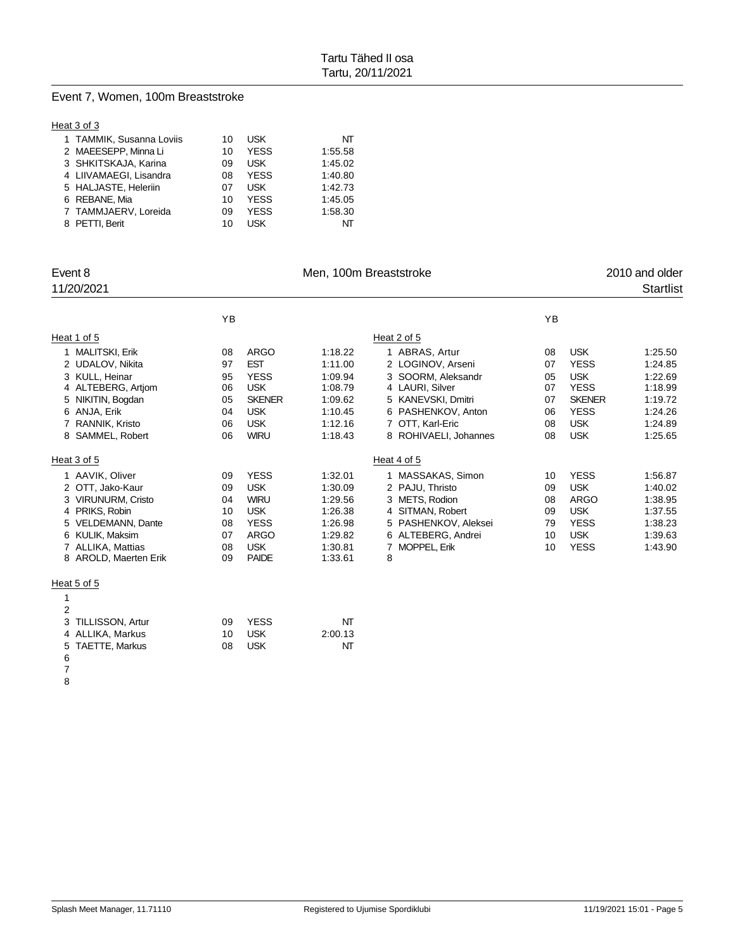#### Event 7, Women, 100m Breaststroke

#### Heat 3 of 3

| 1 TAMMIK, Susanna Loviis | 10 | <b>USK</b>  | NT      |
|--------------------------|----|-------------|---------|
| 2 MAEESEPP, Minna Li     | 10 | <b>YESS</b> | 1:55.58 |
| 3 SHKITSKAJA, Karina     | 09 | <b>USK</b>  | 1:45.02 |
| 4 LIIVAMAEGI, Lisandra   | 08 | <b>YESS</b> | 1:40.80 |
| 5 HALJASTE, Heleriin     | 07 | <b>USK</b>  | 1:42.73 |
| 6 REBANE, Mia            | 10 | <b>YFSS</b> | 1:45.05 |
| 7 TAMMJAERV, Loreida     | 09 | <b>YESS</b> | 1:58.30 |
| 8 PETTI, Berit           | 10 | l ISK       | NT      |

| Event 8<br>11/20/2021 |    | Men, 100m Breaststroke |         |                          |    |               |         |
|-----------------------|----|------------------------|---------|--------------------------|----|---------------|---------|
|                       | YB |                        |         |                          | YB |               |         |
| Heat 1 of 5           |    |                        |         | Heat 2 of 5              |    |               |         |
| 1 MALITSKI, Erik      | 08 | <b>ARGO</b>            | 1:18.22 | 1 ABRAS, Artur           | 08 | <b>USK</b>    | 1:25.50 |
| 2 UDALOV, Nikita      | 97 | <b>EST</b>             | 1:11.00 | 2 LOGINOV, Arseni        | 07 | <b>YESS</b>   | 1:24.85 |
| 3 KULL, Heinar        | 95 | <b>YESS</b>            | 1:09.94 | 3 SOORM, Aleksandr       | 05 | <b>USK</b>    | 1:22.69 |
| 4 ALTEBERG, Artiom    | 06 | <b>USK</b>             | 1:08.79 | 4 LAURI, Silver          | 07 | <b>YESS</b>   | 1:18.99 |
| 5 NIKITIN, Bogdan     | 05 | <b>SKENER</b>          | 1:09.62 | 5 KANEVSKI, Dmitri       | 07 | <b>SKENER</b> | 1:19.72 |
| 6 ANJA, Erik          | 04 | <b>USK</b>             | 1:10.45 | 6 PASHENKOV, Anton       | 06 | <b>YESS</b>   | 1:24.26 |
| 7 RANNIK, Kristo      | 06 | <b>USK</b>             | 1:12.16 | 7 OTT, Karl-Eric         | 08 | <b>USK</b>    | 1:24.89 |
| 8 SAMMEL, Robert      | 06 | <b>WIRU</b>            | 1:18.43 | 8 ROHIVAELI, Johannes    | 08 | <b>USK</b>    | 1:25.65 |
| Heat 3 of 5           |    |                        |         | Heat 4 of 5              |    |               |         |
| 1 AAVIK, Oliver       | 09 | <b>YESS</b>            | 1:32.01 | 1 MASSAKAS, Simon        | 10 | <b>YESS</b>   | 1:56.87 |
| 2 OTT, Jako-Kaur      | 09 | <b>USK</b>             | 1:30.09 | 2 PAJU, Thristo          | 09 | <b>USK</b>    | 1:40.02 |
| 3 VIRUNURM, Cristo    | 04 | <b>WIRU</b>            | 1:29.56 | 3 METS, Rodion           | 08 | <b>ARGO</b>   | 1:38.95 |
| 4 PRIKS, Robin        | 10 | <b>USK</b>             | 1:26.38 | 4 SITMAN, Robert         | 09 | <b>USK</b>    | 1:37.55 |
| 5 VELDEMANN, Dante    | 08 | <b>YESS</b>            | 1:26.98 | 5 PASHENKOV, Aleksei     | 79 | <b>YESS</b>   | 1:38.23 |
| 6 KULIK, Maksim       | 07 | <b>ARGO</b>            | 1:29.82 | 6 ALTEBERG, Andrei       | 10 | <b>USK</b>    | 1:39.63 |
| 7 ALLIKA, Mattias     | 08 | <b>USK</b>             | 1:30.81 | <b>MOPPEL, Erik</b><br>7 | 10 | <b>YESS</b>   | 1:43.90 |
| 8 AROLD, Maerten Erik | 09 | <b>PAIDE</b>           | 1:33.61 | 8                        |    |               |         |
| Heat 5 of 5           |    |                        |         |                          |    |               |         |
| 1                     |    |                        |         |                          |    |               |         |
| $\overline{2}$        |    |                        |         |                          |    |               |         |
| 3 TILLISSON, Artur    | 09 | <b>YESS</b>            | NT      |                          |    |               |         |
|                       |    |                        |         |                          |    |               |         |

- 4 ALLIKA, Markus 10 USK 2:00.13<br>5 TAETTE, Markus 108 USK 11 NT 5 TAETTE, Markus
- 
-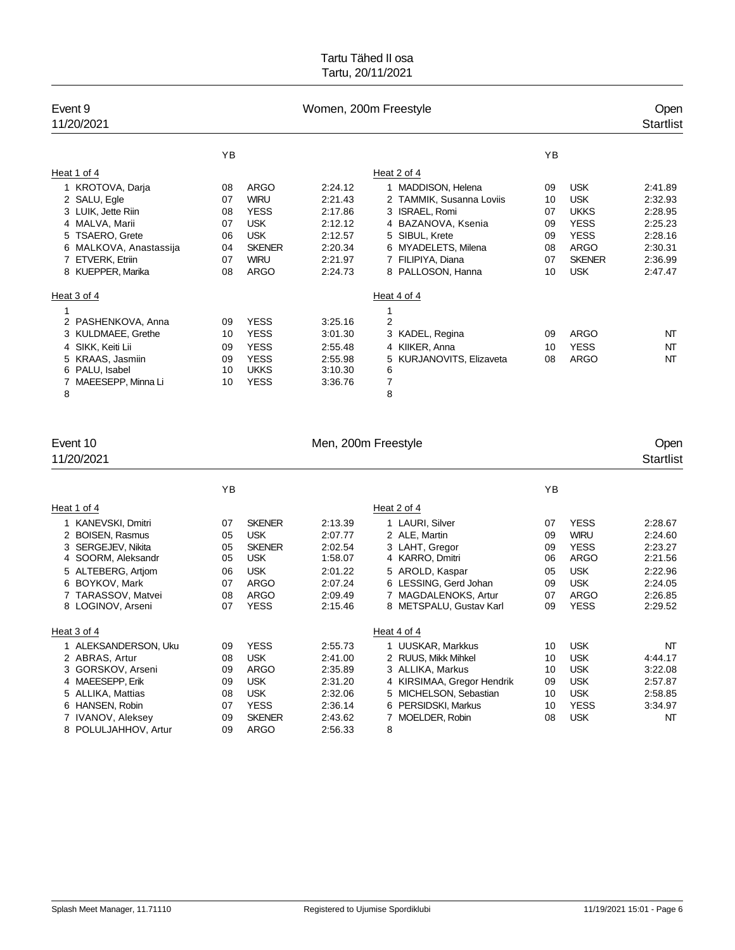| Event 9<br>11/20/2021  |    |               | Women, 200m Freestyle |                          |    | Open<br><b>Startlist</b> |         |
|------------------------|----|---------------|-----------------------|--------------------------|----|--------------------------|---------|
|                        | YB |               |                       |                          | YB |                          |         |
| Heat 1 of 4            |    |               |                       | Heat 2 of 4              |    |                          |         |
| 1 KROTOVA, Darja       | 08 | ARGO          | 2:24.12               | 1 MADDISON, Helena       | 09 | <b>USK</b>               | 2:41.89 |
| 2 SALU, Egle           | 07 | <b>WIRU</b>   | 2:21.43               | 2 TAMMIK, Susanna Loviis | 10 | <b>USK</b>               | 2:32.93 |
| 3 LUIK, Jette Riin     | 08 | <b>YESS</b>   | 2:17.86               | 3 ISRAEL, Romi           | 07 | <b>UKKS</b>              | 2:28.95 |
| 4 MALVA, Marii         | 07 | <b>USK</b>    | 2:12.12               | 4 BAZANOVA, Ksenia       | 09 | <b>YESS</b>              | 2:25.23 |
| 5 TSAERO, Grete        | 06 | <b>USK</b>    | 2:12.57               | 5 SIBUL, Krete           | 09 | <b>YESS</b>              | 2:28.16 |
| 6 MALKOVA, Anastassija | 04 | <b>SKENER</b> | 2:20.34               | 6 MYADELETS, Milena      | 08 | <b>ARGO</b>              | 2:30.31 |
| 7 ETVERK, Etriin       | 07 | <b>WIRU</b>   | 2:21.97               | 7 FILIPIYA, Diana        | 07 | <b>SKENER</b>            | 2:36.99 |
| 8 KUEPPER, Marika      | 08 | <b>ARGO</b>   | 2:24.73               | 8 PALLOSON, Hanna        | 10 | <b>USK</b>               | 2:47.47 |
| Heat 3 of 4            |    |               |                       | Heat 4 of 4              |    |                          |         |
|                        |    |               |                       | 1                        |    |                          |         |
| 2 PASHENKOVA, Anna     | 09 | <b>YESS</b>   | 3:25.16               | $\overline{2}$           |    |                          |         |
| 3 KULDMAEE, Grethe     | 10 | <b>YESS</b>   | 3:01.30               | KADEL, Regina<br>3       | 09 | <b>ARGO</b>              | NT      |
| 4 SIKK, Keiti Lii      | 09 | <b>YESS</b>   | 2:55.48               | 4 KIIKER, Anna           | 10 | <b>YESS</b>              | NT      |
| 5 KRAAS, Jasmiin       | 09 | <b>YESS</b>   | 2:55.98               | 5 KURJANOVITS, Elizaveta | 08 | <b>ARGO</b>              | NT      |
| PALU, Isabel<br>6      | 10 | <b>UKKS</b>   | 3:10.30               | 6                        |    |                          |         |
| MAEESEPP, Minna Li     | 10 | <b>YESS</b>   | 3:36.76               | 7                        |    |                          |         |
| 8                      |    |               |                       | 8                        |    |                          |         |

| Event 10<br>11/20/2021                                                                                                                                                |                                              | Men, 200m Freestyle                                                                                            |                                                                                      |                                                                                                                                                                      |                                              |                                                                                                                    |                                                                                      |
|-----------------------------------------------------------------------------------------------------------------------------------------------------------------------|----------------------------------------------|----------------------------------------------------------------------------------------------------------------|--------------------------------------------------------------------------------------|----------------------------------------------------------------------------------------------------------------------------------------------------------------------|----------------------------------------------|--------------------------------------------------------------------------------------------------------------------|--------------------------------------------------------------------------------------|
|                                                                                                                                                                       | YB                                           |                                                                                                                |                                                                                      |                                                                                                                                                                      | YB                                           |                                                                                                                    |                                                                                      |
| Heat 1 of 4                                                                                                                                                           |                                              |                                                                                                                |                                                                                      | Heat 2 of 4                                                                                                                                                          |                                              |                                                                                                                    |                                                                                      |
| 1 KANEVSKI, Dmitri<br>2 BOISEN, Rasmus<br>3 SERGEJEV, Nikita<br>4 SOORM, Aleksandr<br>5 ALTEBERG, Artiom<br>6 BOYKOV, Mark<br>7 TARASSOV, Matvei<br>8 LOGINOV, Arseni | 07<br>05<br>05<br>05<br>06<br>07<br>08<br>07 | <b>SKENER</b><br><b>USK</b><br><b>SKENER</b><br><b>USK</b><br><b>USK</b><br><b>ARGO</b><br>ARGO<br><b>YESS</b> | 2:13.39<br>2:07.77<br>2:02.54<br>1:58.07<br>2:01.22<br>2:07.24<br>2:09.49<br>2:15.46 | 1 LAURI, Silver<br>2 ALE, Martin<br>3 LAHT, Gregor<br>4 KARRO, Dmitri<br>5 AROLD, Kaspar<br>6 LESSING, Gerd Johan<br>7 MAGDALENOKS, Artur<br>8 METSPALU, Gustav Karl | 07<br>09<br>09<br>06<br>05<br>09<br>07<br>09 | <b>YESS</b><br><b>WIRU</b><br><b>YESS</b><br><b>ARGO</b><br><b>USK</b><br><b>USK</b><br><b>ARGO</b><br><b>YESS</b> | 2:28.67<br>2:24.60<br>2:23.27<br>2:21.56<br>2:22.96<br>2:24.05<br>2:26.85<br>2:29.52 |
| Heat 3 of 4                                                                                                                                                           |                                              |                                                                                                                |                                                                                      | Heat 4 of 4                                                                                                                                                          |                                              |                                                                                                                    |                                                                                      |
| 1 ALEKSANDERSON, Uku<br>2 ABRAS, Artur<br>3 GORSKOV, Arseni<br>4 MAEESEPP, Erik<br>5 ALLIKA, Mattias<br>6 HANSEN, Robin<br>7 IVANOV, Aleksey<br>8 POLULJAHHOV, Artur  | 09<br>08<br>09<br>09<br>08<br>07<br>09<br>09 | <b>YESS</b><br><b>USK</b><br>ARGO<br><b>USK</b><br><b>USK</b><br><b>YESS</b><br><b>SKENER</b><br><b>ARGO</b>   | 2:55.73<br>2:41.00<br>2:35.89<br>2:31.20<br>2:32.06<br>2:36.14<br>2:43.62<br>2:56.33 | 1 UUSKAR, Markkus<br>2 RUUS, Mikk Mihkel<br>3 ALLIKA, Markus<br>4 KIRSIMAA, Gregor Hendrik<br>5 MICHELSON, Sebastian<br>6 PERSIDSKI, Markus<br>7 MOELDER, Robin<br>8 | 10<br>10<br>10<br>09<br>10<br>10<br>08       | <b>USK</b><br><b>USK</b><br><b>USK</b><br><b>USK</b><br><b>USK</b><br><b>YESS</b><br><b>USK</b>                    | NT<br>4:44.17<br>3:22.08<br>2:57.87<br>2:58.85<br>3:34.97<br>NT                      |